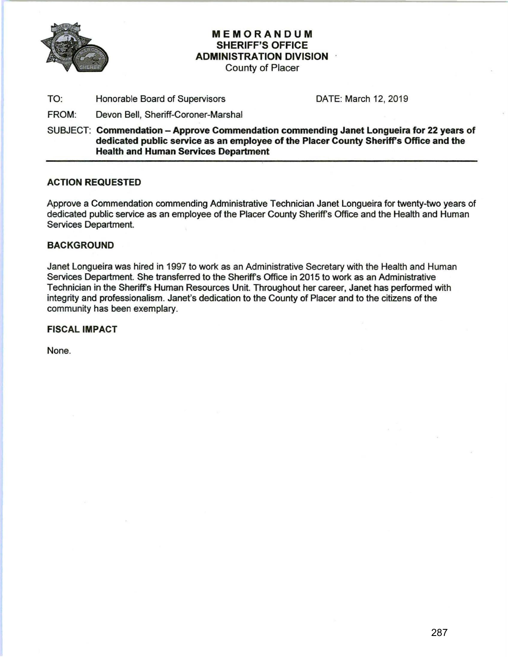

## MEMORANDUM SHERIFF'S OFFICE ADMINISTRATION DIVISION

County of Placer

TO: Honorable Board of Supervisors DATE: March 12, 2019

FROM: Devon Bell, Sheriff-Coroner-Marshal

SUBJECT: Commendation - Approve Commendation commending Janet Longueira for 22 years of dedicated public service as an employee of the Placer County Sheriffs Office and the Health and Human Services Department

## ACTION REQUESTED

Approve a Commendation commending Administrative Technician Janet Longueira for twenty-two years of dedicated public service as an employee of the Placer County Sheriff's Office and the Health and Human Services Department.

## **BACKGROUND**

Janet Longueira was hired in 1997 to work as an Administrative Secretary with the Health and Human Services Department. She transferred to the Sheriff's Office in 2015 to work as an Administrative Technician in the Sheriff's Human Resources Unit. Throughout her career, Janet has performed with integrity and professionalism. Janet's dedication to the County of Placer and to the citizens of the community has been exemplary.

FISCAL IMPACT

None.